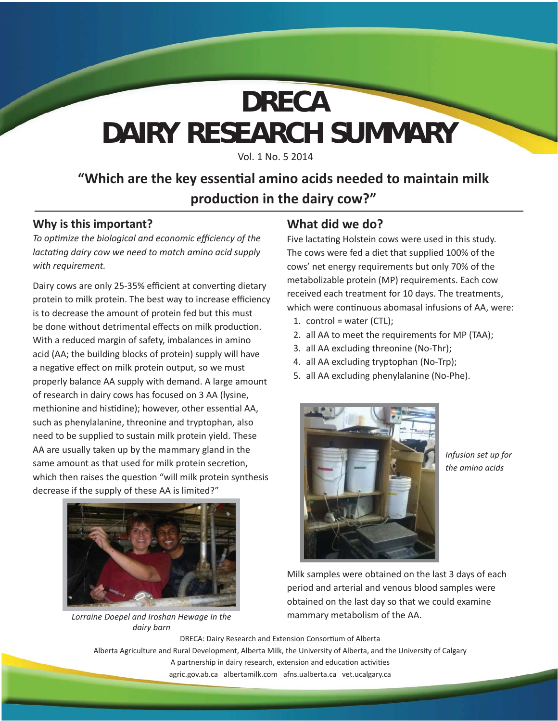# **DAIRY RESEARCH SUMMARY DRECA**

Vol. 1 No. 5 2014

### **"Which are the key essential amino acids needed to maintain milk producti on in the dairy cow?"**

#### **Why is this important?**

*To opti mize the biological and economic effi ciency of the lactating dairy cow we need to match amino acid supply with requirement.*

Dairy cows are only 25-35% efficient at converting dietary protein to milk protein. The best way to increase efficiency is to decrease the amount of protein fed but this must be done without detrimental effects on milk production. With a reduced margin of safety, imbalances in amino acid (AA; the building blocks of protein) supply will have a negative effect on milk protein output, so we must properly balance AA supply with demand. A large amount of research in dairy cows has focused on 3 AA (lysine, methionine and histidine); however, other essential AA, such as phenylalanine, threonine and tryptophan, also need to be supplied to sustain milk protein yield. These AA are usually taken up by the mammary gland in the same amount as that used for milk protein secretion, which then raises the question "will milk protein synthesis decrease if the supply of these AA is limited?"



*Lorraine Doepel and Iroshan Hewage In the dairy barn*

### **What did we do?**

Five lactating Holstein cows were used in this study. The cows were fed a diet that supplied 100% of the cows' net energy requirements but only 70% of the metabolizable protein (MP) requirements. Each cow received each treatment for 10 days. The treatments, which were continuous abomasal infusions of AA, were:

- 1. control = water  $(CTL)$ ;
- 2. all AA to meet the requirements for MP (TAA);
- 3. all AA excluding threonine (No-Thr);
- 4. all AA excluding tryptophan (No-Trp);
- 5. all AA excluding phenylalanine (No-Phe).



*Infusion set up for the amino acids*

Milk samples were obtained on the last 3 days of each period and arterial and venous blood samples were obtained on the last day so that we could examine mammary metabolism of the AA.

DRECA: Dairy Research and Extension Consortium of Alberta Alberta Agriculture and Rural Development, Alberta Milk, the University of Alberta, and the University of Calgary A partnership in dairy research, extension and education activities agric.gov.ab.ca albertamilk.com afns.ualberta.ca vet.ucalgary.ca